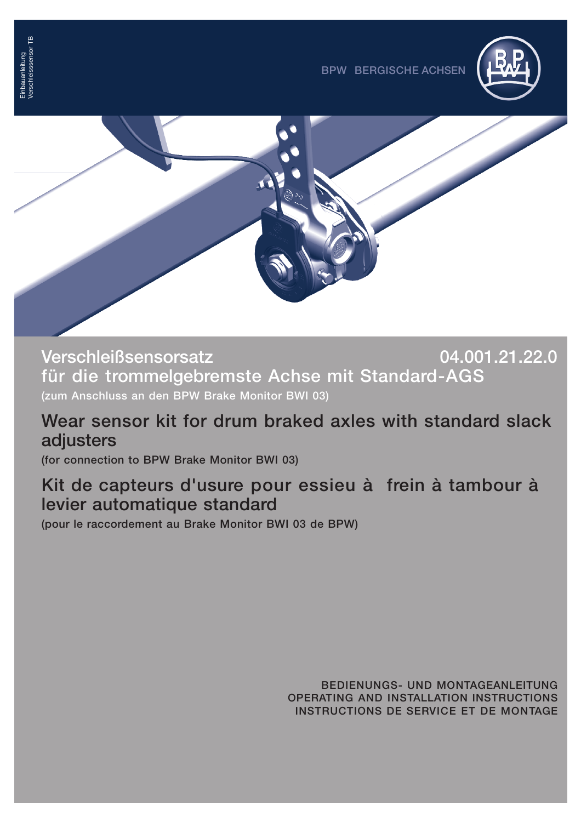



**Verschleißsensorsatz 04.001.21.22.0 für die trommelgebremste Achse mit Standard-AGS (zum Anschluss an den BPW Brake Monitor BWI 03)**

### **Wear sensor kit for drum braked axles with standard slack adjusters**

**(for connection to BPW Brake Monitor BWI 03)**

### **Kit de capteurs d'usure pour essieu à frein à tambour à levier automatique standard**

**(pour le raccordement au Brake Monitor BWI 03 de BPW)**

**BEDIENUNGS- UND MONTAGEANLEITUNG OPERATING AND INSTALLATION INSTRUCTIONS INSTRUCTIONS DE SERVICE ET DE MONTAGE**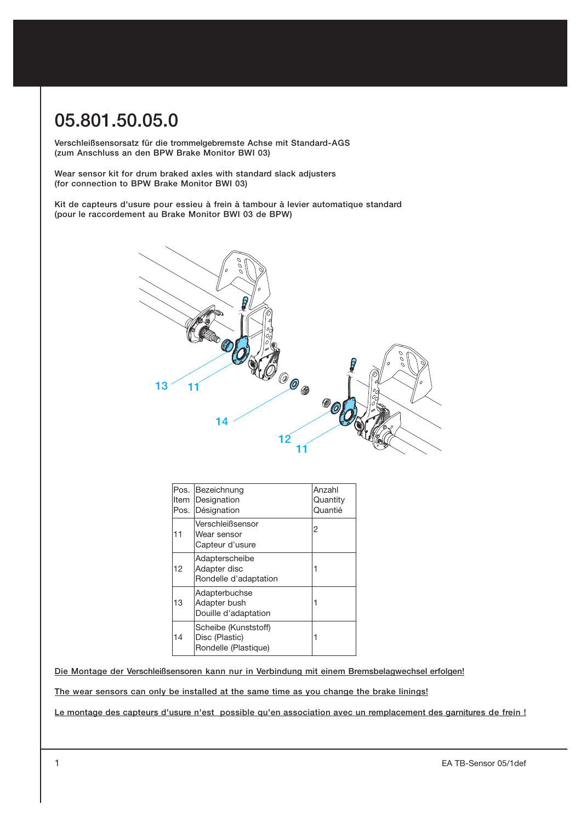# **05.801.50.05.0**

**Verschleißsensorsatz für die trommelgebremste Achse mit Standard-AGS (zum Anschluss an den BPW Brake Monitor BWI 03)**

**Wear sensor kit for drum braked axles with standard slack adjusters (for connection to BPW Brake Monitor BWI 03)**

**Kit de capteurs d'usure pour essieu à frein à tambour à levier automatique standard (pour le raccordement au Brake Monitor BWI 03 de BPW)**



| ltem<br>Pos. | Pos. Bezeichnung<br>Designation<br>Désignation                 | Anzahl<br>Quantity<br>Quantié |
|--------------|----------------------------------------------------------------|-------------------------------|
| 11           | Verschleißsensor<br>Wear sensor<br>Capteur d'usure             | 2                             |
| 12           | Adapterscheibe<br>Adapter disc<br>Rondelle d'adaptation        |                               |
| 13           | Adapterbuchse<br>Adapter bush<br>Douille d'adaptation          |                               |
| 14           | Scheibe (Kunststoff)<br>Disc (Plastic)<br>Rondelle (Plastique) |                               |

**Die Montage der Verschleißsensoren kann nur in Verbindung mit einem Bremsbelagwechsel erfolgen!**

**The wear sensors can only be installed at the same time as you change the brake linings!**

**Le montage des capteurs d'usure n'est possible qu'en association avec un remplacement des garnitures de frein !**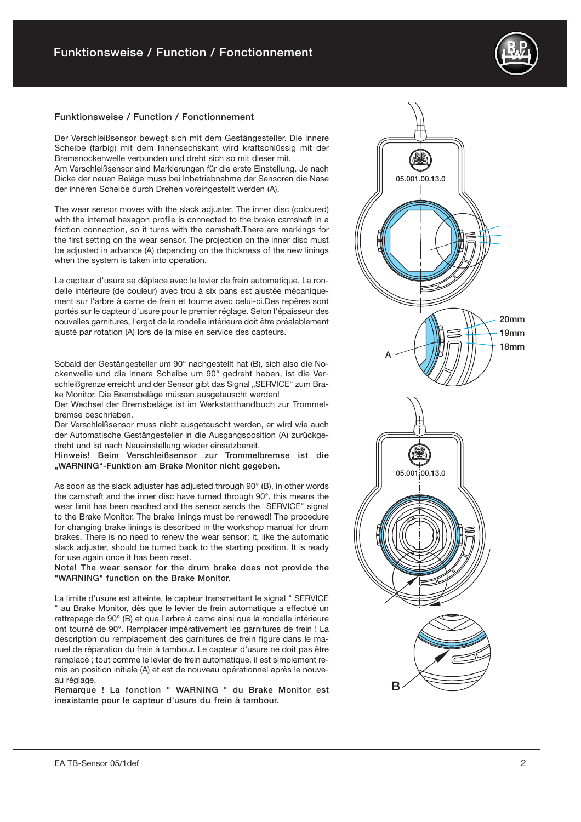#### **Funktionsweise / Function / Fonctionnement**

Der Verschleißsensor bewegt sich mit dem Gestängesteller. Die innere Scheibe (farbig) mit dem Innensechskant wird kraftschlüssig mit der Bremsnockenwelle verbunden und dreht sich so mit dieser mit. Am Verschleißsensor sind Markierungen für die erste Einstellung. Je nach Dicke der neuen Beläge muss bei Inbetriebnahme der Sensoren die Nase der inneren Scheibe durch Drehen voreingestellt werden (A).

The wear sensor moves with the slack adjuster. The inner disc (coloured) with the internal hexagon profile is connected to the brake camshaft in a friction connection, so it turns with the camshaft.There are markings for the first setting on the wear sensor. The projection on the inner disc must be adjusted in advance (A) depending on the thickness of the new linings when the system is taken into operation.

Le capteur d'usure se déplace avec le levier de frein automatique. La ron delle intérieure (de couleur) avec trou à six pans est ajustée mécanique ment sur l'arbre à came de frein et tourne avec celui-ci.Des repères sont portés sur le capteur d'usure pour le premier réglage. Selon l'épaisseur des nouvelles garnitures, l'ergot de la rondelle intérieure doit être préalablement ajusté par rotation (A) lors de la mise en service des capteurs.

Sobald der Gestängesteller um 90° nachgestellt hat (B), sich also die No ckenwelle und die innere Scheibe um 90° gedreht haben, ist die Ver schleißgrenze erreicht und der Sensor gibt das Signal "SERVICE" zum Brake Monitor. Die Bremsbeläge müssen ausgetauscht werden!

Der Wechsel der Bremsbeläge ist im Werkstatthandbuch zur Trommel bremse beschrieben.

Der Verschleißsensor muss nicht ausgetauscht werden, er wird wie auch der Automatische Gestängesteller in die Ausgangsposition (A) zurückge dreht und ist nach Neueinstellung wieder einsatzbereit.

**Hinweis! Beim Verschleißsensor zur Trommelbremse ist die "WARNING"-Funktion am Brake Monitor nicht gegeben.**

As soon as the slack adjuster has adjusted through 90° (B), in other words the camshaft and the inner disc have turned through 90°, this means the wear limit has been reached and the sensor sends the "SERVICE" signal to the Brake Monitor. The brake linings must be renewed! The procedure for changing brake linings is described in the workshop manual for drum brakes. There is no need to renew the wear sensor; it, like the automatic slack adjuster, should be turned back to the starting position. It is ready for use again once it has been reset.

**Note! The wear sensor for the drum brake does not provide the "WARNING" function on the Brake Monitor.**

La limite d'usure est atteinte, le capteur transmettant le signal " SERVICE au Brake Monitor, dès que le levier de frein automatique a effectué un rattrapage de 90° (B) et que l'arbre à came ainsi que la rondelle intérieure ont tourné de 90°. Remplacer impérativement les garnitures de frein ! La description du remplacement des garnitures de frein figure dans le ma nuel de réparation du frein à tambour. Le capteur d'usure ne doit pas être remplacé ; tout comme le levier de frein automatique, il est simplement re mis en position initiale (A) et est de nouveau opérationnel après le nouve au réglage.

**Remarque ! La fonction " WARNING " du Brake Monitor est inexistante pour le capteur d'usure du frein à tambour.**

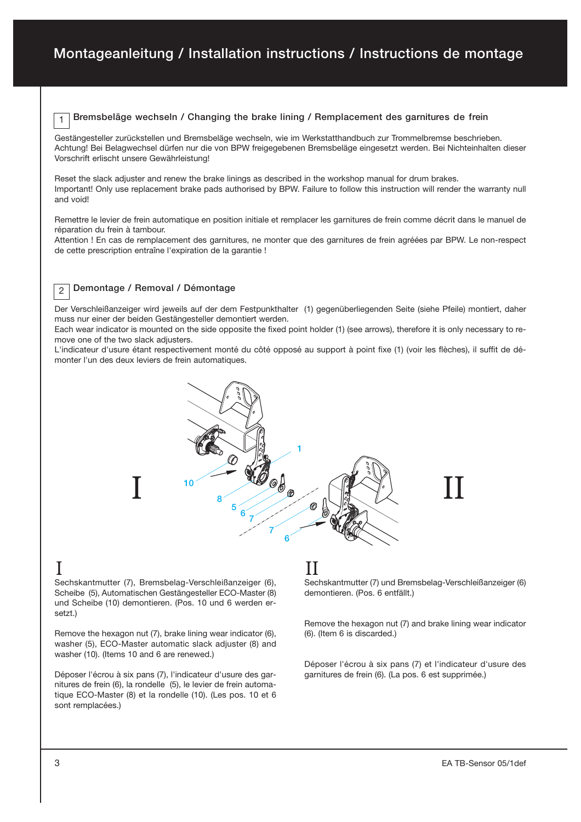#### **Bremsbeläge wechseln / Changing the brake lining / Remplacement des garnitures de frein**

Gestängesteller zurückstellen und Bremsbeläge wechseln, wie im Werkstatthandbuch zur Trommelbremse beschrieben. Achtung! Bei Belagwechsel dürfen nur die von BPW freigegebenen Bremsbeläge eingesetzt werden. Bei Nichteinhalten dieser Vorschrift erlischt unsere Gewährleistung!

Reset the slack adjuster and renew the brake linings as described in the workshop manual for drum brakes. Important! Only use replacement brake pads authorised by BPW. Failure to follow this instruction will render the warranty null and void!

Remettre le levier de frein automatique en position initiale et remplacer les garnitures de frein comme décrit dans le manuel de réparation du frein à tambour.

Attention ! En cas de remplacement des garnitures, ne monter que des garnitures de frein agréées par BPW. Le nonrespect de cette prescription entraîne l'expiration de la garantie !

#### **Demontage / Removal / Démontage**

Der Verschleißanzeiger wird jeweils auf der dem Festpunkthalter (1) gegenüberliegenden Seite (siehe Pfeile) montiert, daher muss nur einer der beiden Gestängesteller demontiert werden.

Each wear indicator is mounted on the side opposite the fixed point holder (1) (see arrows), therefore it is only necessary to re move one of the two slack adjusters.

L'indicateur d'usure étant respectivement monté du côté opposé au support à point fixe (1) (voir les flèches), il suffit de dé monter l'un des deux leviers de frein automatiques.



### I

2

1

Sechskantmutter (7), Bremsbelag-Verschleißanzeiger (6), Scheibe (5), Automatischen Gestängesteller ECO-Master (8) und Scheibe (10) demontieren. (Pos. 10 und 6 werden er setzt.)

Remove the hexagon nut (7), brake lining wear indicator (6), washer (5), ECO-Master automatic slack adjuster (8) and washer (10). (Items 10 and 6 are renewed.)

Déposer l'écrou à six pans (7), l'indicateur d'usure des gar nitures de frein (6), la rondelle (5), le levier de frein automa tique ECO-Master (8) et la rondelle (10). (Les pos. 10 et 6 sont remplacées.)

## II

Sechskantmutter (7) und Bremsbelag-Verschleißanzeiger (6) demontieren. (Pos. 6 entfällt.)

Remove the hexagon nut (7) and brake lining wear indicator (6). (Item 6 is discarded.)

Déposer l'écrou à six pans (7) et l'indicateur d'usure des garnitures de frein (6). (La pos. 6 est supprimée.)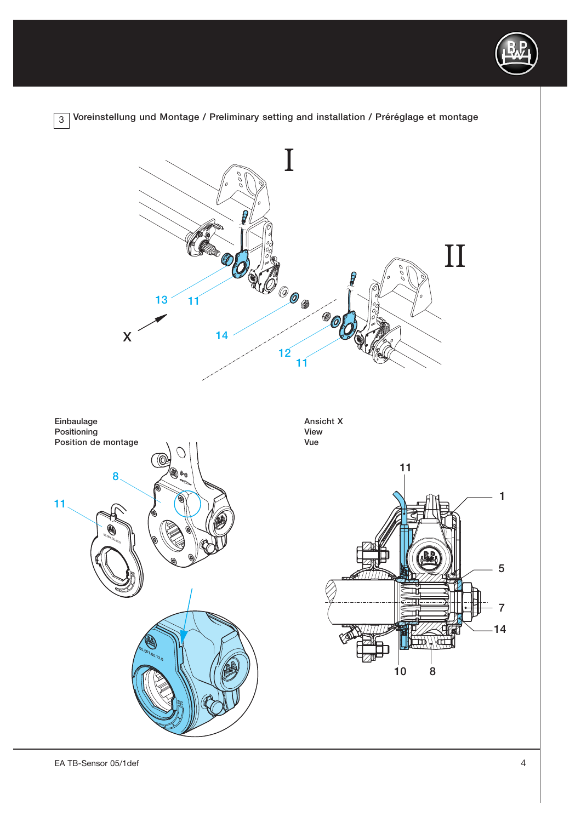

Voreinstellung und Montage / Preliminary setting and installation / Préréglage et montage  $3<sup>1</sup>$ 

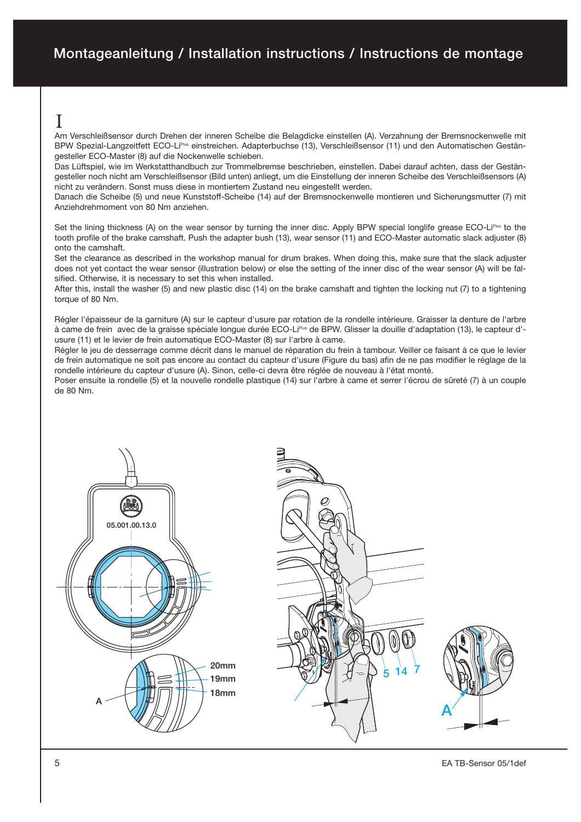I

Am Verschleißsensor durch Drehen der inneren Scheibe die Belagdicke einstellen (A). Verzahnung der Bremsnockenwelle mit BPW Spezial-Langzeitfett ECO-Li<sup>pus</sup> einstreichen. Adapterbuchse (13), Verschleißsensor (11) und den Automatischen Gestängesteller ECO-Master (8) auf die Nockenwelle schieben.

Das Lüftspiel, wie im Werkstatthandbuch zur Trommelbremse beschrieben, einstellen. Dabei darauf achten, dass der Gestän gesteller noch nicht am Verschleißsensor (Bild unten) anliegt, um die Einstellung der inneren Scheibe des Verschleißsensors (A) nicht zu verändern. Sonst muss diese in montiertem Zustand neu eingestellt werden.

Danach die Scheibe (5) und neue Kunststoff-Scheibe (14) auf der Bremsnockenwelle montieren und Sicherungsmutter (7) mit Anziehdrehmoment von 80 Nm anziehen.

Set the lining thickness (A) on the wear sensor by turning the inner disc. Apply BPW special longlife grease ECO-LiPlus to the tooth profile of the brake camshaft. Push the adapter bush (13), wear sensor (11) and ECO-Master automatic slack adjuster (8) onto the camshaft.

Set the clearance as described in the workshop manual for drum brakes. When doing this, make sure that the slack adjuster does not yet contact the wear sensor (illustration below) or else the setting of the inner disc of the wear sensor (A) will be fal sified. Otherwise, it is necessary to set this when installed.

After this, install the washer (5) and new plastic disc (14) on the brake camshaft and tighten the locking nut (7) to a tightening torque of 80 Nm.

Régler l'épaisseur de la garniture (A) sur le capteur d'usure par rotation de la rondelle intérieure. Graisser la denture de l'arbre à came de frein avec de la graisse spéciale longue durée ECO-Li<sup>plus</sup> de BPW. Glisser la douille d'adaptation (13), le capteur d'usure (11) et le levier de frein automatique ECO-Master (8) sur l'arbre à came.

Régler le jeu de desserrage comme décrit dans le manuel de réparation du frein à tambour. Veiller ce faisant à ce que le levier de frein automatique ne soit pas encore au contact du capteur d'usure (Figure du bas) afin de ne pas modifier le réglage de la rondelle intérieure du capteur d'usure (A). Sinon, celle-ci devra être réglée de nouveau à l'état monté.

Poser ensuite la rondelle (5) et la nouvelle rondelle plastique (14) sur l'arbre à came et serrer l'écrou de sûreté (7) à un couple de 80 Nm.

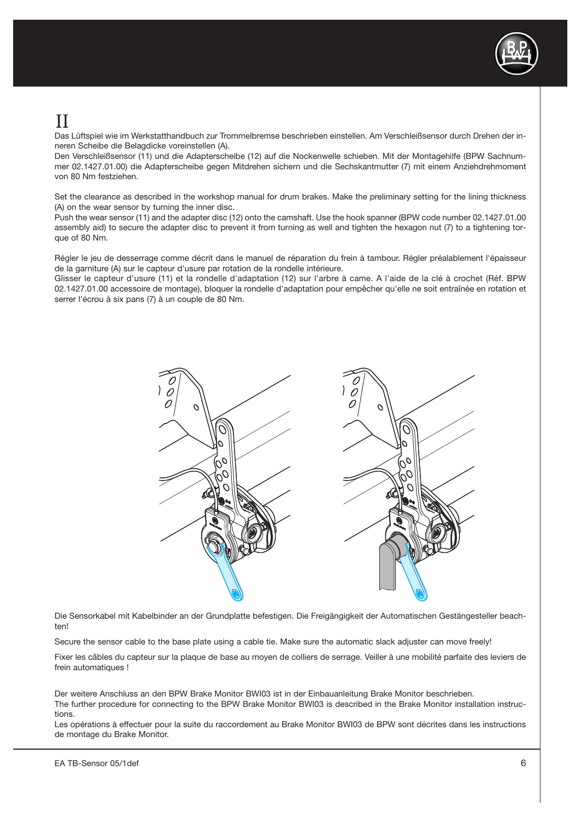

# II

Das Lüftspiel wie im Werkstatthandbuch zur Trommelbremse beschrieben einstellen. Am Verschleißsensor durch Drehen der in neren Scheibe die Belagdicke voreinstellen (A).

Den Verschleißsensor (11) und die Adapterscheibe (12) auf die Nockenwelle schieben. Mit der Montagehilfe (BPW Sachnum mer 02.1427.01.00) die Adapterscheibe gegen Mitdrehen sichern und die Sechskantmutter (7) mit einem Anziehdrehmoment von 80 Nm festziehen.

Set the clearance as described in the workshop manual for drum brakes. Make the preliminary setting for the lining thickness (A) on the wear sensor by turning the inner disc.

Push the wear sensor (11) and the adapter disc (12) onto the camshaft. Use the hook spanner (BPW code number 02.1427.01.00 assembly aid) to secure the adapter disc to prevent it from turning as well and tighten the hexagon nut (7) to a tightening tor que of 80 Nm.

Régler le jeu de desserrage comme décrit dans le manuel de réparation du frein à tambour. Régler préalablement l'épaisseur de la garniture (A) sur le capteur d'usure par rotation de la rondelle intérieure.

Glisser le capteur d'usure (11) et la rondelle d'adaptation (12) sur l'arbre à came. A l'aide de la clé à crochet (Réf. BPW 02.1427.01.00 accessoire de montage), bloquer la rondelle d'adaptation pour empêcher qu'elle ne soit entraînée en rotation et serrer l'écrou à six pans (7) à un couple de 80 Nm.



Die Sensorkabel mit Kabelbinder an der Grundplatte befestigen. Die Freigängigkeit der Automatischen Gestängesteller beach ten!

Secure the sensor cable to the base plate using a cable tie. Make sure the automatic slack adjuster can move freely!

Fixer les câbles du capteur sur la plaque de base au moyen de colliers de serrage. Veiller à une mobilité parfaite des leviers de frein automatiques !

Der weitere Anschluss an den BPW Brake Monitor BWI03 ist in der Einbauanleitung Brake Monitor beschrieben. The further procedure for connecting to the BPW Brake Monitor BWI03 is described in the Brake Monitor installation instruc tions.

Les opérations à effectuer pour la suite du raccordement au Brake Monitor BWI03 de BPW sont décrites dans les instructions de montage du Brake Monitor.